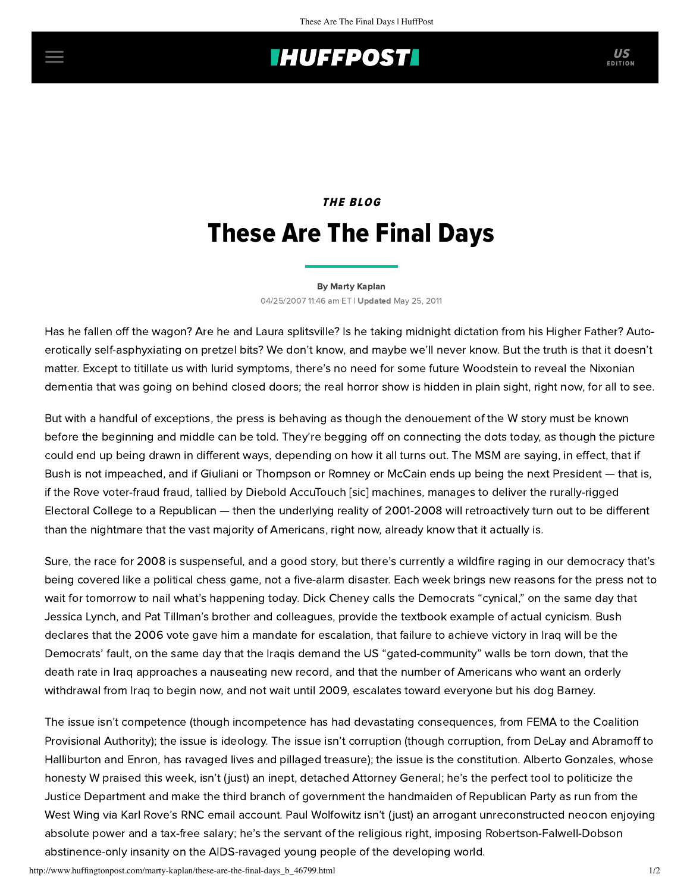# **THUFFPOST**

## THE BLOG These Are The Final Days

#### [By Marty Kaplan](http://www.huffingtonpost.com/author/marty-kaplan)

04/25/2007 11:46 am ET | Updated May 25, 2011

Has he fallen off the wagon? Are he and Laura splitsville? Is he taking midnight dictation from his Higher Father? Autoerotically self-asphyxiating on pretzel bits? We don't know, and maybe we'll never know. But the truth is that it doesn't matter. Except to titillate us with lurid symptoms, there's no need for some future Woodstein to reveal the Nixonian dementia that was going on behind closed doors; the real horror show is hidden in plain sight, right now, for all to see.

But with a handful of exceptions, the press is behaving as though the denouement of the W story must be known before the beginning and middle can be told. They're begging off on connecting the dots today, as though the picture could end up being drawn in different ways, depending on how it all turns out. The MSM are saying, in effect, that if Bush is not impeached, and if Giuliani or Thompson or Romney or McCain ends up being the next President — that is, if the Rove voter-fraud fraud, tallied by Diebold AccuTouch [sic] machines, manages to deliver the rurally-rigged Electoral College to a Republican — then the underlying reality of 2001-2008 will retroactively turn out to be different than the nightmare that the vast majority of Americans, right now, already know that it actually is.

Sure, the race for 2008 is suspenseful, and a good story, but there's currently a wildfire raging in our democracy that's being covered like a political chess game, not a five-alarm disaster. Each week brings new reasons for the press not to wait for tomorrow to nail what's happening today. Dick Cheney calls the Democrats "cynical," on the same day that Jessica Lynch, and Pat Tillman's brother and colleagues, provide the textbook example of actual cynicism. Bush declares that the 2006 vote gave him a mandate for escalation, that failure to achieve victory in Iraq will be the Democrats' fault, on the same day that the Iraqis demand the US "gated-community" walls be torn down, that the death rate in Iraq approaches a nauseating new record, and that the number of Americans who want an orderly withdrawal from Iraq to begin now, and not wait until 2009, escalates toward everyone but his dog Barney.

The issue isn't competence (though incompetence has had devastating consequences, from FEMA to the Coalition Provisional Authority); the issue is ideology. The issue isn't corruption (though corruption, from DeLay and Abramoff to Halliburton and Enron, has ravaged lives and pillaged treasure); the issue is the constitution. Alberto Gonzales, whose honesty W praised this week, isn't (just) an inept, detached Attorney General; he's the perfect tool to politicize the Justice Department and make the third branch of government the handmaiden of Republican Party as run from the West Wing via Karl Rove's RNC email account. Paul Wolfowitz isn't (just) an arrogant unreconstructed neocon enjoying absolute power and a tax-free salary; he's the servant of the religious right, imposing Robertson-Falwell-Dobson abstinence-only insanity on the AIDS-ravaged young people of the developing world.